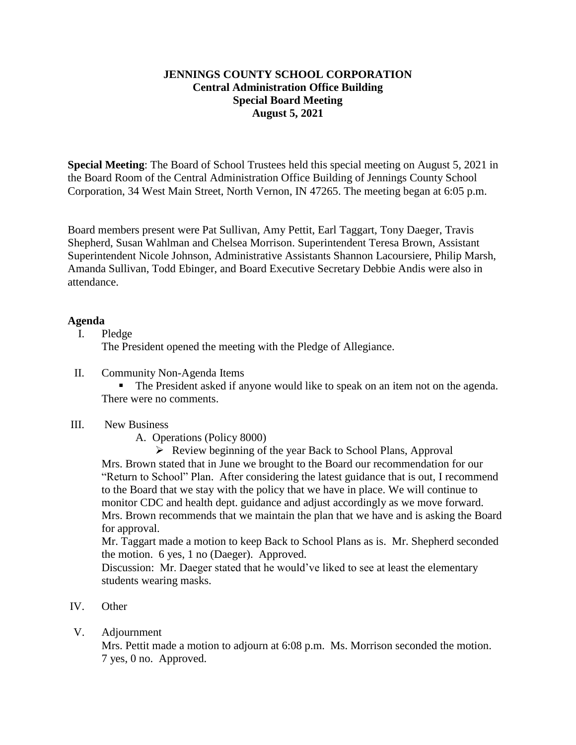## **JENNINGS COUNTY SCHOOL CORPORATION Central Administration Office Building Special Board Meeting August 5, 2021**

**Special Meeting**: The Board of School Trustees held this special meeting on August 5, 2021 in the Board Room of the Central Administration Office Building of Jennings County School Corporation, 34 West Main Street, North Vernon, IN 47265. The meeting began at 6:05 p.m.

Board members present were Pat Sullivan, Amy Pettit, Earl Taggart, Tony Daeger, Travis Shepherd, Susan Wahlman and Chelsea Morrison. Superintendent Teresa Brown, Assistant Superintendent Nicole Johnson, Administrative Assistants Shannon Lacoursiere, Philip Marsh, Amanda Sullivan, Todd Ebinger, and Board Executive Secretary Debbie Andis were also in attendance.

## **Agenda**

I. Pledge

The President opened the meeting with the Pledge of Allegiance.

II. Community Non-Agenda Items

 The President asked if anyone would like to speak on an item not on the agenda. There were no comments.

## III. New Business

A. Operations (Policy 8000)

 $\triangleright$  Review beginning of the year Back to School Plans, Approval Mrs. Brown stated that in June we brought to the Board our recommendation for our "Return to School" Plan. After considering the latest guidance that is out, I recommend to the Board that we stay with the policy that we have in place. We will continue to monitor CDC and health dept. guidance and adjust accordingly as we move forward. Mrs. Brown recommends that we maintain the plan that we have and is asking the Board for approval.

Mr. Taggart made a motion to keep Back to School Plans as is. Mr. Shepherd seconded the motion. 6 yes, 1 no (Daeger). Approved.

Discussion: Mr. Daeger stated that he would've liked to see at least the elementary students wearing masks.

- IV. Other
- V. Adjournment

Mrs. Pettit made a motion to adjourn at 6:08 p.m. Ms. Morrison seconded the motion. 7 yes, 0 no. Approved.